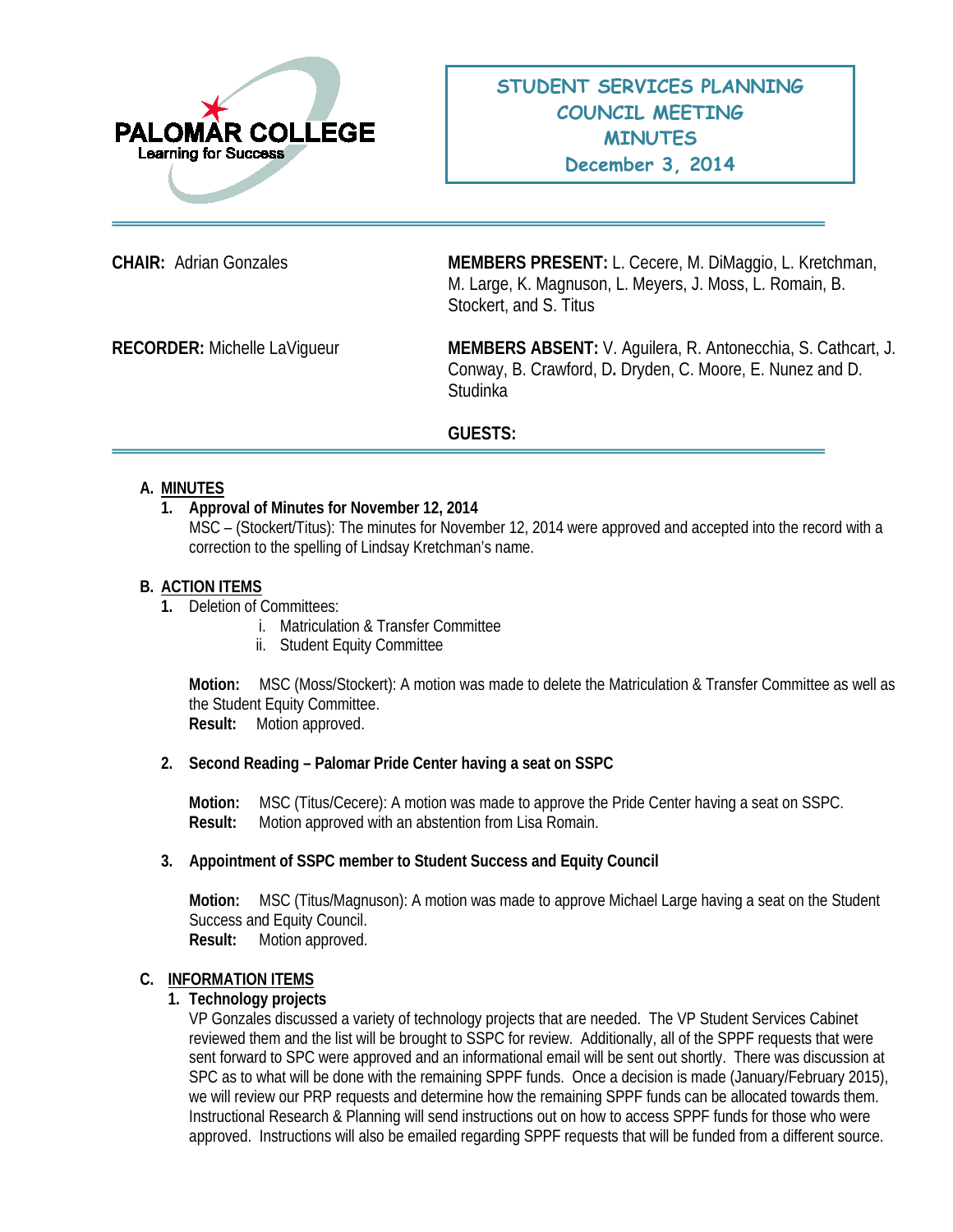

**CHAIR:** Adrian Gonzales **MEMBERS PRESENT:** L. Cecere, M. DiMaggio, L. Kretchman, M. Large, K. Magnuson, L. Meyers, J. Moss, L. Romain, B. Stockert, and S. Titus

**RECORDER:** Michelle LaVigueur **MEMBERS ABSENT:** V. Aguilera, R. Antonecchia, S. Cathcart, J. Conway, B. Crawford, D**.** Dryden, C. Moore, E. Nunez and D. **Studinka** 

## **GUESTS:**

## **A. MINUTES**

## **1. Approval of Minutes for November 12, 2014**

MSC – (Stockert/Titus): The minutes for November 12, 2014 were approved and accepted into the record with a correction to the spelling of Lindsay Kretchman's name.

#### **B. ACTION ITEMS**

- **1.** Deletion of Committees:
	- i. Matriculation & Transfer Committee
	- ii. Student Equity Committee

**Motion:** MSC (Moss/Stockert): A motion was made to delete the Matriculation & Transfer Committee as well as the Student Equity Committee.

**Result:** Motion approved.

## **2. Second Reading – Palomar Pride Center having a seat on SSPC**

**Motion:** MSC (Titus/Cecere): A motion was made to approve the Pride Center having a seat on SSPC. **Result:** Motion approved with an abstention from Lisa Romain.

#### **3. Appointment of SSPC member to Student Success and Equity Council**

**Motion:** MSC (Titus/Magnuson): A motion was made to approve Michael Large having a seat on the Student Success and Equity Council.

**Result:** Motion approved.

# **C. INFORMATION ITEMS**

#### **1. Technology projects**

VP Gonzales discussed a variety of technology projects that are needed. The VP Student Services Cabinet reviewed them and the list will be brought to SSPC for review. Additionally, all of the SPPF requests that were sent forward to SPC were approved and an informational email will be sent out shortly. There was discussion at SPC as to what will be done with the remaining SPPF funds. Once a decision is made (January/February 2015), we will review our PRP requests and determine how the remaining SPPF funds can be allocated towards them. Instructional Research & Planning will send instructions out on how to access SPPF funds for those who were approved. Instructions will also be emailed regarding SPPF requests that will be funded from a different source.